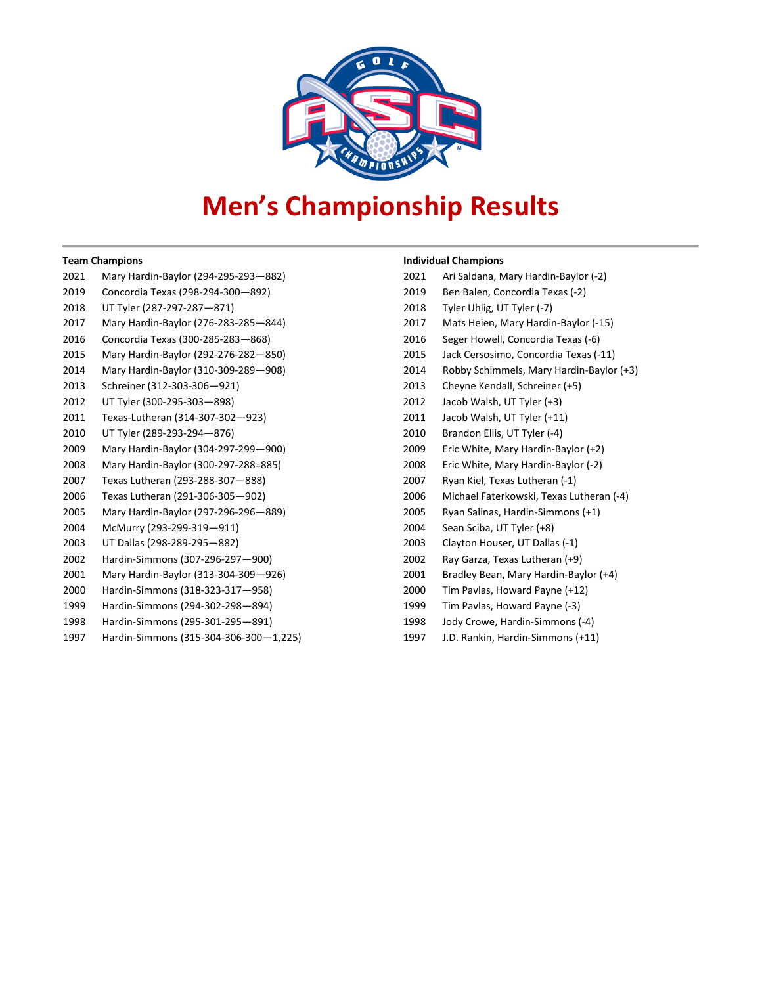

## **Men's Championship Results**

## **Team Champions**

| 2021 | Mary Hardin-Baylor (294-295-293-882) |
|------|--------------------------------------|
| 2019 | Concordia Texas (298-294-300-892)    |
| 2018 | UT Tyler (287-297-287-871)           |
| 2017 | Mary Hardin-Baylor (276-283-285-844) |
| 2016 | Concordia Texas (300-285-283-868)    |
| 2015 | Mary Hardin-Baylor (292-276-282-850) |
| 2014 | Mary Hardin-Baylor (310-309-289-908) |
| 2013 | Schreiner (312-303-306-921)          |
| 2012 | UT Tyler (300-295-303-898)           |
| 2011 | Texas-Lutheran (314-307-302-923)     |
| 2010 | UT Tyler (289-293-294-876)           |
| 2009 | Mary Hardin-Baylor (304-297-299-900) |
| 2008 | Mary Hardin-Baylor (300-297-288=885) |
| 2007 | Texas Lutheran (293-288-307-888)     |
| 2006 | Texas Lutheran (291-306-305-902)     |
| 2005 | Mary Hardin-Baylor (297-296-296-889) |
| 2004 | McMurry (293-299-319-911)            |
| 2003 | UT Dallas (298-289-295-882)          |
| 2002 | Hardin-Simmons (307-296-297-900)     |
| 2001 | Mary Hardin-Baylor (313-304-309-926) |
| 2000 | Hardin-Simmons (318-323-317–958)     |
| 1999 | Hardin-Simmons (294-302-298-894)     |
| 1998 | Hardin-Simmons (295-301-295—891)     |
|      |                                      |

Hardin-Simmons (315-304-306-300—1,225)

## **Individual Champions**

| 2021 | Ari Saldana, Mary Hardin-Baylor (-2)     |
|------|------------------------------------------|
| 2019 | Ben Balen, Concordia Texas (-2)          |
| 2018 | Tyler Uhlig, UT Tyler (-7)               |
| 2017 | Mats Heien, Mary Hardin-Baylor (-15)     |
| 2016 | Seger Howell, Concordia Texas (-6)       |
| 2015 | Jack Cersosimo, Concordia Texas (-11)    |
| 2014 | Robby Schimmels, Mary Hardin-Baylor (+3) |
| 2013 | Cheyne Kendall, Schreiner (+5)           |
| 2012 | Jacob Walsh, UT Tyler (+3)               |
| 2011 | Jacob Walsh, UT Tyler (+11)              |
| 2010 | Brandon Ellis, UT Tyler (-4)             |
| 2009 | Eric White, Mary Hardin-Baylor (+2)      |
| 2008 | Eric White, Mary Hardin-Baylor (-2)      |
| 2007 | Ryan Kiel, Texas Lutheran (-1)           |
| 2006 | Michael Faterkowski, Texas Lutheran (-4) |
| 2005 | Ryan Salinas, Hardin-Simmons (+1)        |
| 2004 | Sean Sciba, UT Tyler (+8)                |
| 2003 | Clayton Houser, UT Dallas (-1)           |
| 2002 | Ray Garza, Texas Lutheran (+9)           |
| 2001 | Bradley Bean, Mary Hardin-Baylor (+4)    |
| 2000 | Tim Pavlas, Howard Payne (+12)           |
| 1999 | Tim Pavlas, Howard Payne (-3)            |
| 1998 | Jody Crowe, Hardin-Simmons (-4)          |
| 1997 | J.D. Rankin, Hardin-Simmons (+11)        |